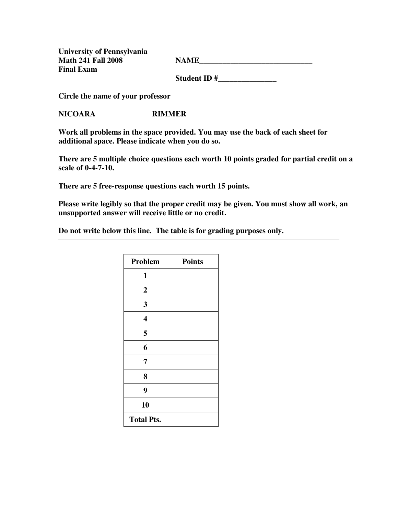**University of Pennsylvania Final Exam** 

Math 241 Fall 2008 NAME

 **Student ID #\_\_\_\_\_\_\_\_\_\_\_\_\_\_\_** 

**Circle the name of your professor** 

**NICOARA RIMMER** 

**Work all problems in the space provided. You may use the back of each sheet for additional space. Please indicate when you do so.** 

**There are 5 multiple choice questions each worth 10 points graded for partial credit on a scale of 0-4-7-10.** 

**There are 5 free-response questions each worth 15 points.** 

**Please write legibly so that the proper credit may be given. You must show all work, an unsupported answer will receive little or no credit.** 

**Do not write below this line. The table is for grading purposes only.** 

| Problem                 | <b>Points</b> |
|-------------------------|---------------|
| 1                       |               |
| $\boldsymbol{2}$        |               |
| 3                       |               |
| $\overline{\mathbf{4}}$ |               |
| 5                       |               |
| 6                       |               |
| 7                       |               |
| 8                       |               |
| 9                       |               |
| 10                      |               |
| <b>Total Pts.</b>       |               |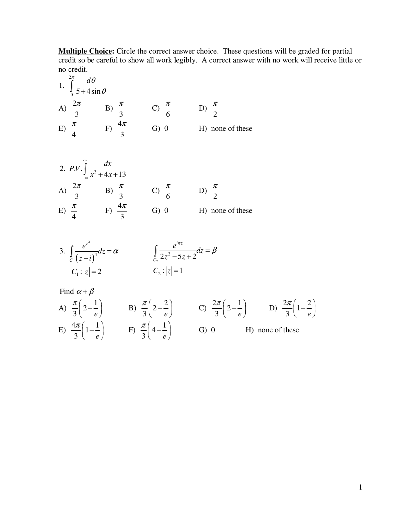**Multiple Choice:** Circle the correct answer choice. These questions will be graded for partial credit so be careful to show all work legibly. A correct answer with no work will receive little or no credit.

1. 
$$
\int_{0}^{2\pi} \frac{d\theta}{5 + 4\sin \theta}
$$
  
\nA)  $\frac{2\pi}{3}$  \tB)  $\frac{\pi}{3}$  \tC)  $\frac{\pi}{6}$  \tD)  $\frac{\pi}{2}$   
\nE)  $\frac{\pi}{4}$  \tF)  $\frac{4\pi}{3}$  \tG) 0 \tH) none of these

2. *P.V.* 
$$
\int_{-\infty}^{\infty} \frac{dx}{x^2 + 4x + 13}
$$
  
\nA)  $\frac{2\pi}{3}$  \tB)  $\frac{\pi}{3}$  \tC)  $\frac{\pi}{6}$  \tD)  $\frac{\pi}{2}$   
\nE)  $\frac{\pi}{4}$  \tF)  $\frac{4\pi}{3}$  \tG) 0 \tH) none of these

3. 
$$
\int_{C_1} \frac{e^{z^2}}{(z-i)^4} dz = \alpha \qquad \qquad \int_{C_2} \frac{e^{i\pi z}}{2z^2 - 5z + 2} dz = \beta
$$
  

$$
C_1 : |z| = 2 \qquad \qquad C_2 : |z| = 1
$$

Find 
$$
\alpha + \beta
$$
  
\nA)  $\frac{\pi}{3} \left( 2 - \frac{1}{e} \right)$  \nB)  $\frac{\pi}{3} \left( 2 - \frac{2}{e} \right)$  \nC)  $\frac{2\pi}{3} \left( 2 - \frac{1}{e} \right)$  \nD)  $\frac{2\pi}{3} \left( 1 - \frac{2}{e} \right)$   
\nE)  $\frac{4\pi}{3} \left( 1 - \frac{1}{e} \right)$  \nF)  $\frac{\pi}{3} \left( 4 - \frac{1}{e} \right)$  \nG) 0 \nH) none of these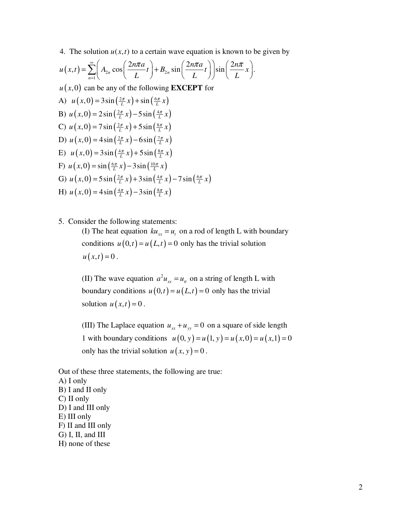4. The solution  $u(x, t)$  to a certain wave equation is known to be given by

$$
u(x,t) = \sum_{n=1}^{\infty} \left( A_{2n} \cos\left(\frac{2n\pi a}{L}t\right) + B_{2n} \sin\left(\frac{2n\pi a}{L}t\right) \right) \sin\left(\frac{2n\pi}{L}x\right).
$$
  
\n
$$
u(x,0) \text{ can be any of the following } \text{EXECEPT for}
$$
  
\nA)  $u(x,0) = 3\sin\left(\frac{2\pi}{L}x\right) + \sin\left(\frac{6\pi}{L}x\right)$   
\nB)  $u(x,0) = 2\sin\left(\frac{2\pi}{L}x\right) - 5\sin\left(\frac{4\pi}{L}x\right)$   
\nC)  $u(x,0) = 7\sin\left(\frac{2\pi}{L}x\right) + 5\sin\left(\frac{8\pi}{L}x\right)$   
\nD)  $u(x,0) = 4\sin\left(\frac{2\pi}{L}x\right) - 6\sin\left(\frac{7\pi}{L}x\right)$   
\nE)  $u(x,0) = 3\sin\left(\frac{4\pi}{L}x\right) + 5\sin\left(\frac{8\pi}{L}x\right)$   
\nF)  $u(x,0) = \sin\left(\frac{6\pi}{L}x\right) - 3\sin\left(\frac{10\pi}{L}x\right)$   
\nG)  $u(x,0) = 5\sin\left(\frac{2\pi}{L}x\right) + 3\sin\left(\frac{4\pi}{L}x\right) - 7\sin\left(\frac{6\pi}{L}x\right)$   
\nH)  $u(x,0) = 4\sin\left(\frac{4\pi}{L}x\right) - 3\sin\left(\frac{8\pi}{L}x\right)$ 

5. Consider the following statements:

(I) The heat equation  $ku_{xx} = u_t$  on a rod of length L with boundary conditions  $u(0,t) = u(L,t) = 0$  only has the trivial solution  $u(x,t) = 0$ .

(II) The wave equation  $a^2 u_{xx} = u_{tt}$  on a string of length L with boundary conditions  $u(0,t) = u(L,t) = 0$  only has the trivial solution  $u(x,t) = 0$ .

(III) The Laplace equation  $u_{xx} + u_{yy} = 0$  on a square of side length 1 with boundary conditions  $u(0, y) = u(1, y) = u(x, 0) = u(x, 1) = 0$ only has the trivial solution  $u(x, y) = 0$ .

Out of these three statements, the following are true: A) I only B) I and II only C) II only D) I and III only E) III only F) II and III only

G) I, II, and III

H) none of these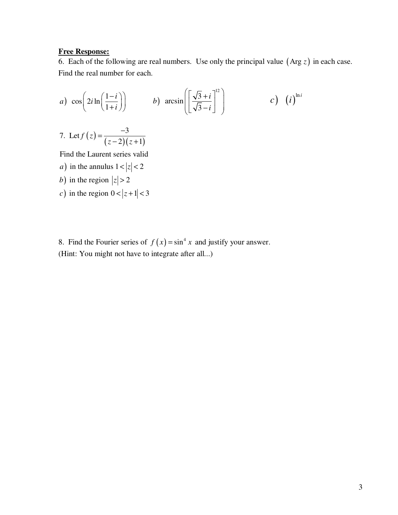## **Free Response:**

6. Each of the following are real numbers. Use only the principal value (Arg *z*) in each case. Find the real number for each.

a) 
$$
\cos\left(2i\ln\left(\frac{1-i}{1+i}\right)\right)
$$
 b)  $\arcsin\left(\left[\frac{\sqrt{3}+i}{\sqrt{3}-i}\right]^{12}\right)$  c)  $(i)^{\ln i}$ 

7. Let 
$$
f(z) = \frac{-3}{(z-2)(z+1)}
$$

Find the Laurent series valid

- *a*) in the annulus  $1 < |z| < 2$
- b) in the region  $|z| > 2$
- c) in the region  $0 < |z+1| < 3$

8. Find the Fourier series of  $f(x) = \sin^4 x$  and justify your answer. (Hint: You might not have to integrate after all...)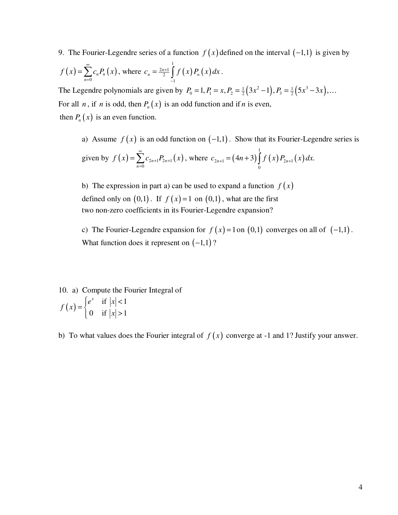9. The Fourier-Legendre series of a function  $f(x)$  defined on the interval  $(-1,1)$  is given by

$$
f(x) = \sum_{n=0}^{\infty} c_n P_n(x)
$$
, where  $c_n = \frac{2n+1}{2} \int_{-1}^{1} f(x) P_n(x) dx$ .

The Legendre polynomials are given by  $P_0 = 1, P_1 = x, P_2 = \frac{1}{2}(3x^2 - 1), P_3 = \frac{1}{2}(5x^3 - 3x), \dots$ For all *n*, if *n* is odd, then  $P_n(x)$  is an odd function and if *n* is even, then  $P_n(x)$  is an even function.

a) Assume  $f(x)$  is an odd function on  $(-1,1)$ . Show that its Fourier-Legendre series is given by  $f(x) = \sum c_{2n+1} P_{2n+1}(x)$  $\mathbf{0}$  $n+1$ <sup>2</sup> 2n *n*  $f(x) = \sum c_{2n+1} P_{2n+1}(x)$ ∞  $+1$ <sup>*L*</sup>  $2n+$ =  $=\sum_{n=1}^{\infty}c_{2n+1}P_{2n+1}(x)$ , where  $c_{2n+1} = (4n+3)\int_{0}^{1} f(x)P_{2n+1}(x)$  $_{2n+1}$  – ( $\pi$ <sup>1</sup>) - ( $\pi$ )  $J$  ( $\pi$ )  $_{2n+1}$ 0  $c_{2n+1} = (4n+3) \int f(x) P_{2n+1}(x) dx.$ 

b) The expression in part a) can be used to expand a function  $f(x)$ defined only on  $(0,1)$ . If  $f(x)=1$  on  $(0,1)$ , what are the first two non-zero coefficients in its Fourier-Legendre expansion?

c) The Fourier-Legendre expansion for  $f(x) = 1$  on  $(0,1)$  converges on all of  $(-1,1)$ . What function does it represent on  $(-1,1)$ ?

10. a) Compute the Fourier Integral of  $(x) = \begin{cases} e^x & \text{if } |x| < 1 \\ 0 & \text{if } |x| > 1 \end{cases}$  $e^x$  if  $|x$ *f x x*  $\left|e^x\right|$  if  $|x|$  <  $=\{$  $\begin{vmatrix} 0 & \text{if } |x| > \end{vmatrix}$ 

b) To what values does the Fourier integral of  $f(x)$  converge at -1 and 1? Justify your answer.